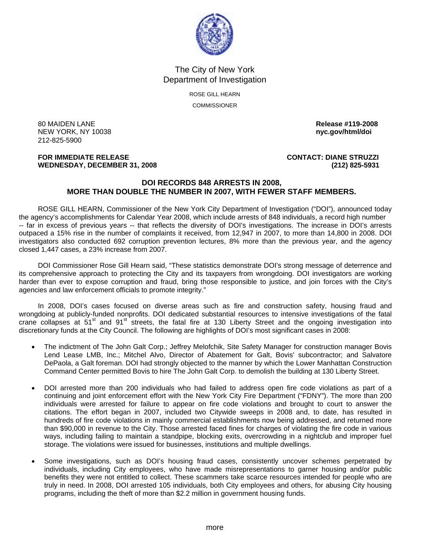

The City of New York Department of Investigation

> ROSE GILL HEARN **COMMISSIONER**

80 MAIDEN LANE **Release #119-2008 NEW YORK, NY 10038** 212-825-5900

**FOR IMMEDIATE RELEASE CONTACT: DIANE STRUZZI WEDNESDAY, DECEMBER 31, 2008 (212) 825-5931**

### **DOI RECORDS 848 ARRESTS IN 2008, MORE THAN DOUBLE THE NUMBER IN 2007, WITH FEWER STAFF MEMBERS.**

ROSE GILL HEARN, Commissioner of the New York City Department of Investigation ("DOI"), announced today the agency's accomplishments for Calendar Year 2008, which include arrests of 848 individuals, a record high number -- far in excess of previous years -- that reflects the diversity of DOI's investigations. The increase in DOI's arrests outpaced a 15% rise in the number of complaints it received, from 12,947 in 2007, to more than 14,800 in 2008. DOI investigators also conducted 692 corruption prevention lectures, 8% more than the previous year, and the agency closed 1,447 cases, a 23% increase from 2007.

 DOI Commissioner Rose Gill Hearn said, "These statistics demonstrate DOI's strong message of deterrence and its comprehensive approach to protecting the City and its taxpayers from wrongdoing. DOI investigators are working harder than ever to expose corruption and fraud, bring those responsible to justice, and join forces with the City's agencies and law enforcement officials to promote integrity."

 In 2008, DOI's cases focused on diverse areas such as fire and construction safety, housing fraud and wrongdoing at publicly-funded nonprofits. DOI dedicated substantial resources to intensive investigations of the fatal crane collapses at 51<sup>st</sup> and 91<sup>st</sup> streets, the fatal fire at 130 Liberty Street and the ongoing investigation into discretionary funds at the City Council. The following are highlights of DOI's most significant cases in 2008:

- The indictment of The John Galt Corp.; Jeffrey Melofchik, Site Safety Manager for construction manager Bovis Lend Lease LMB, Inc.; Mitchel Alvo, Director of Abatement for Galt, Bovis' subcontractor; and Salvatore DePaola, a Galt foreman. DOI had strongly objected to the manner by which the Lower Manhattan Construction Command Center permitted Bovis to hire The John Galt Corp. to demolish the building at 130 Liberty Street.
- DOI arrested more than 200 individuals who had failed to address open fire code violations as part of a continuing and joint enforcement effort with the New York City Fire Department ("FDNY"). The more than 200 individuals were arrested for failure to appear on fire code violations and brought to court to answer the citations. The effort began in 2007, included two Citywide sweeps in 2008 and, to date, has resulted in hundreds of fire code violations in mainly commercial establishments now being addressed, and returned more than \$90,000 in revenue to the City. Those arrested faced fines for charges of violating the fire code in various ways, including failing to maintain a standpipe, blocking exits, overcrowding in a nightclub and improper fuel storage. The violations were issued for businesses, institutions and multiple dwellings.
- Some investigations, such as DOI's housing fraud cases, consistently uncover schemes perpetrated by individuals, including City employees, who have made misrepresentations to garner housing and/or public benefits they were not entitled to collect. These scammers take scarce resources intended for people who are truly in need. In 2008, DOI arrested 105 individuals, both City employees and others, for abusing City housing programs, including the theft of more than \$2.2 million in government housing funds.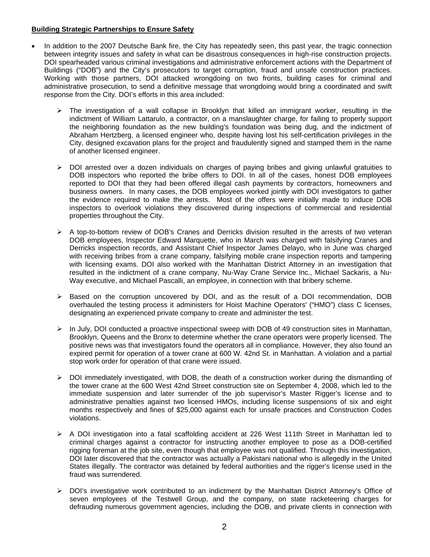### **Building Strategic Partnerships to Ensure Safety**

- In addition to the 2007 Deutsche Bank fire, the City has repeatedly seen, this past year, the tragic connection between integrity issues and safety in what can be disastrous consequences in high-rise construction projects. DOI spearheaded various criminal investigations and administrative enforcement actions with the Department of Buildings ("DOB") and the City's prosecutors to target corruption, fraud and unsafe construction practices. Working with those partners, DOI attacked wrongdoing on two fronts, building cases for criminal and administrative prosecution, to send a definitive message that wrongdoing would bring a coordinated and swift response from the City. DOI's efforts in this area included:
	- $\triangleright$  The investigation of a wall collapse in Brooklyn that killed an immigrant worker, resulting in the indictment of William Lattarulo, a contractor, on a manslaughter charge, for failing to properly support the neighboring foundation as the new building's foundation was being dug, and the indictment of Abraham Hertzberg, a licensed engineer who, despite having lost his self-certification privileges in the City, designed excavation plans for the project and fraudulently signed and stamped them in the name of another licensed engineer.
	- ¾ DOI arrested over a dozen individuals on charges of paying bribes and giving unlawful gratuities to DOB inspectors who reported the bribe offers to DOI. In all of the cases, honest DOB employees reported to DOI that they had been offered illegal cash payments by contractors, homeowners and business owners. In many cases, the DOB employees worked jointly with DOI investigators to gather the evidence required to make the arrests. Most of the offers were initially made to induce DOB inspectors to overlook violations they discovered during inspections of commercial and residential properties throughout the City.
	- $\triangleright$  A top-to-bottom review of DOB's Cranes and Derricks division resulted in the arrests of two veteran DOB employees, Inspector Edward Marquette, who in March was charged with falsifying Cranes and Derricks inspection records, and Assistant Chief Inspector James Delayo, who in June was charged with receiving bribes from a crane company, falsifying mobile crane inspection reports and tampering with licensing exams. DOI also worked with the Manhattan District Attorney in an investigation that resulted in the indictment of a crane company, Nu-Way Crane Service Inc., Michael Sackaris, a Nu-Way executive, and Michael Pascalli, an employee, in connection with that bribery scheme.
	- $\triangleright$  Based on the corruption uncovered by DOI, and as the result of a DOI recommendation, DOB overhauled the testing process it administers for Hoist Machine Operators' ("HMO") class C licenses, designating an experienced private company to create and administer the test.
	- $\triangleright$  In July, DOI conducted a proactive inspectional sweep with DOB of 49 construction sites in Manhattan, Brooklyn, Queens and the Bronx to determine whether the crane operators were properly licensed. The positive news was that investigators found the operators all in compliance. However, they also found an expired permit for operation of a tower crane at 600 W. 42nd St. in Manhattan. A violation and a partial stop work order for operation of that crane were issued.
	- $\triangleright$  DOI immediately investigated, with DOB, the death of a construction worker during the dismantling of the tower crane at the 600 West 42nd Street construction site on September 4, 2008, which led to the immediate suspension and later surrender of the job supervisor's Master Rigger's license and to administrative penalties against two licensed HMOs, including license suspensions of six and eight months respectively and fines of \$25,000 against each for unsafe practices and Construction Codes violations.
	- $\triangleright$  A DOI investigation into a fatal scaffolding accident at 226 West 111th Street in Manhattan led to criminal charges against a contractor for instructing another employee to pose as a DOB-certified rigging foreman at the job site, even though that employee was not qualified. Through this investigation, DOI later discovered that the contractor was actually a Pakistani national who is allegedly in the United States illegally. The contractor was detained by federal authorities and the rigger's license used in the fraud was surrendered.
	- ¾ DOI's investigative work contributed to an indictment by the Manhattan District Attorney's Office of seven employees of the Testwell Group, and the company, on state racketeering charges for defrauding numerous government agencies, including the DOB, and private clients in connection with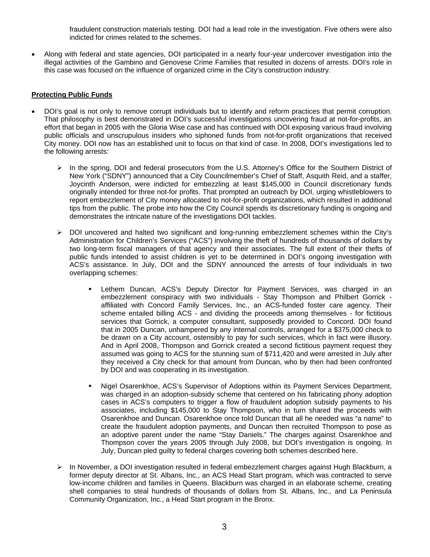fraudulent construction materials testing. DOI had a lead role in the investigation. Five others were also indicted for crimes related to the schemes.

• Along with federal and state agencies, DOI participated in a nearly four-year undercover investigation into the illegal activities of the Gambino and Genovese Crime Families that resulted in dozens of arrests. DOI's role in this case was focused on the influence of organized crime in the City's construction industry.

# **Protecting Public Funds**

- DOI's goal is not only to remove corrupt individuals but to identify and reform practices that permit corruption. That philosophy is best demonstrated in DOI's successful investigations uncovering fraud at not-for-profits, an effort that began in 2005 with the Gloria Wise case and has continued with DOI exposing various fraud involving public officials and unscrupulous insiders who siphoned funds from not-for-profit organizations that received City money. DOI now has an established unit to focus on that kind of case. In 2008, DOI's investigations led to the following arrests:
	- $\triangleright$  In the spring, DOI and federal prosecutors from the U.S. Attorney's Office for the Southern District of New York ("SDNY") announced that a City Councilmember's Chief of Staff, Asquith Reid, and a staffer, Joycinth Anderson, were indicted for embezzling at least \$145,000 in Council discretionary funds originally intended for three not-for profits. That prompted an outreach by DOI, urging whistleblowers to report embezzlement of City money allocated to not-for-profit organizations, which resulted in additional tips from the public. The probe into how the City Council spends its discretionary funding is ongoing and demonstrates the intricate nature of the investigations DOI tackles.
	- $\triangleright$  DOI uncovered and halted two significant and long-running embezzlement schemes within the City's Administration for Children's Services ("ACS") involving the theft of hundreds of thousands of dollars by two long-term fiscal managers of that agency and their associates. The full extent of their thefts of public funds intended to assist children is yet to be determined in DOI's ongoing investigation with ACS's assistance. In July, DOI and the SDNY announced the arrests of four individuals in two overlapping schemes:
		- Lethem Duncan, ACS's Deputy Director for Payment Services, was charged in an embezzlement conspiracy with two individuals - Stay Thompson and Philbert Gorrick affiliated with Concord Family Services, Inc., an ACS-funded foster care agency. Their scheme entailed billing ACS - and dividing the proceeds among themselves - for fictitious services that Gorrick, a computer consultant, supposedly provided to Concord. DOI found that in 2005 Duncan, unhampered by any internal controls, arranged for a \$375,000 check to be drawn on a City account, ostensibly to pay for such services, which in fact were illusory. And in April 2008, Thompson and Gorrick created a second fictitious payment request they assumed was going to ACS for the stunning sum of \$711,420 and were arrested in July after they received a City check for that amount from Duncan, who by then had been confronted by DOI and was cooperating in its investigation.
		- Nigel Osarenkhoe, ACS's Supervisor of Adoptions within its Payment Services Department, was charged in an adoption-subsidy scheme that centered on his fabricating phony adoption cases in ACS's computers to trigger a flow of fraudulent adoption subsidy payments to his associates, including \$145,000 to Stay Thompson, who in turn shared the proceeds with Osarenkhoe and Duncan. Osarenkhoe once told Duncan that all he needed was "a name" to create the fraudulent adoption payments, and Duncan then recruited Thompson to pose as an adoptive parent under the name "Stay Daniels." The charges against Osarenkhoe and Thompson cover the years 2005 through July 2008, but DOI's investigation is ongoing. In July, Duncan pled guilty to federal charges covering both schemes described here.
	- ¾ In November, a DOI investigation resulted in federal embezzlement charges against Hugh Blackburn, a former deputy director at St. Albans, Inc., an ACS Head Start program, which was contracted to serve low-income children and families in Queens. Blackburn was charged in an elaborate scheme, creating shell companies to steal hundreds of thousands of dollars from St. Albans, Inc., and La Peninsula Community Organization, Inc., a Head Start program in the Bronx.